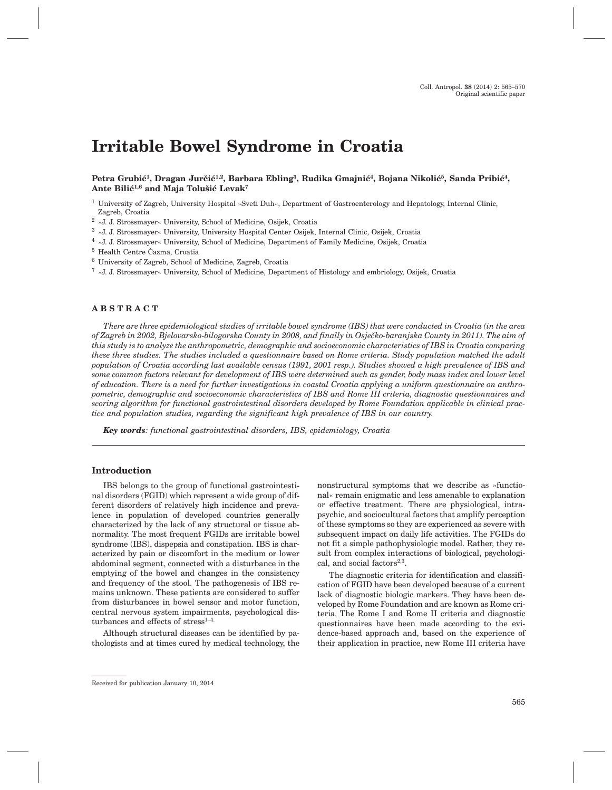# **Irritable Bowel Syndrome in Croatia**

# Petra Grubić<sup>1</sup>, Dragan Jurčić<sup>1,2</sup>, Barbara Ebling<sup>3</sup>, Rudika Gmajnić<sup>4</sup>, Bojana Nikolić<sup>5</sup>, Sanda Pribić<sup>4</sup>, Ante Bilić<sup>1,6</sup> and Maja Tolušić Levak<sup>7</sup>

<sup>1</sup> University of Zagreb, University Hospital »Sveti Duh«, Department of Gastroenterology and Hepatology, Internal Clinic, Zagreb, Croatia

- <sup>2</sup> »J. J. Strossmayer« University, School of Medicine, Osijek, Croatia
- <sup>3</sup> »J. J. Strossmayer« University, University Hospital Center Osijek, Internal Clinic, Osijek, Croatia

<sup>4</sup> »J. J. Strossmayer« University, School of Medicine, Department of Family Medicine, Osijek, Croatia

- $^5$  Health Centre Čazma, Croatia
- <sup>6</sup> University of Zagreb, School of Medicine, Zagreb, Croatia

<sup>7</sup> »J. J. Strossmayer« University, School of Medicine, Department of Histology and embriology, Osijek, Croatia

# **ABSTRACT**

*There are three epidemiological studies of irritable bowel syndrome (IBS) that were conducted in Croatia (in the area of Zagreb in 2002, Bjelovarsko-bilogorska County in 2008, and finally in Osječko-baranjska County in 2011). The aim of this study is to analyze the anthropometric, demographic and socioeconomic characteristics of IBS in Croatia comparing these three studies. The studies included a questionnaire based on Rome criteria. Study population matched the adult population of Croatia according last available census (1991, 2001 resp.). Studies showed a high prevalence of IBS and some common factors relevant for development of IBS were determined such as gender, body mass index and lower level of education. There is a need for further investigations in coastal Croatia applying a uniform questionnaire on anthropometric, demographic and socioeconomic characteristics of IBS and Rome III criteria, diagnostic questionnaires and scoring algorithm for functional gastrointestinal disorders developed by Rome Foundation applicable in clinical practice and population studies, regarding the significant high prevalence of IBS in our country.*

*Key words: functional gastrointestinal disorders, IBS, epidemiology, Croatia*

# **Introduction**

IBS belongs to the group of functional gastrointestinal disorders (FGID) which represent a wide group of different disorders of relatively high incidence and prevalence in population of developed countries generally characterized by the lack of any structural or tissue abnormality. The most frequent FGIDs are irritable bowel syndrome (IBS), dispepsia and constipation. IBS is characterized by pain or discomfort in the medium or lower abdominal segment, connected with a disturbance in the emptying of the bowel and changes in the consistency and frequency of the stool. The pathogenesis of IBS remains unknown. These patients are considered to suffer from disturbances in bowel sensor and motor function, central nervous system impairments, psychological disturbances and effects of stress $1-4$ .

Although structural diseases can be identified by pathologists and at times cured by medical technology, the nonstructural symptoms that we describe as »functional« remain enigmatic and less amenable to explanation or effective treatment. There are physiological, intrapsychic, and sociocultural factors that amplify perception of these symptoms so they are experienced as severe with subsequent impact on daily life activities. The FGIDs do not fit a simple pathophysiologic model. Rather, they result from complex interactions of biological, psychological, and social factors<sup>2,3</sup>.

The diagnostic criteria for identification and classification of FGID have been developed because of a current lack of diagnostic biologic markers. They have been developed by Rome Foundation and are known as Rome criteria. The Rome I and Rome II criteria and diagnostic questionnaires have been made according to the evidence-based approach and, based on the experience of their application in practice, new Rome III criteria have

Received for publication January 10, 2014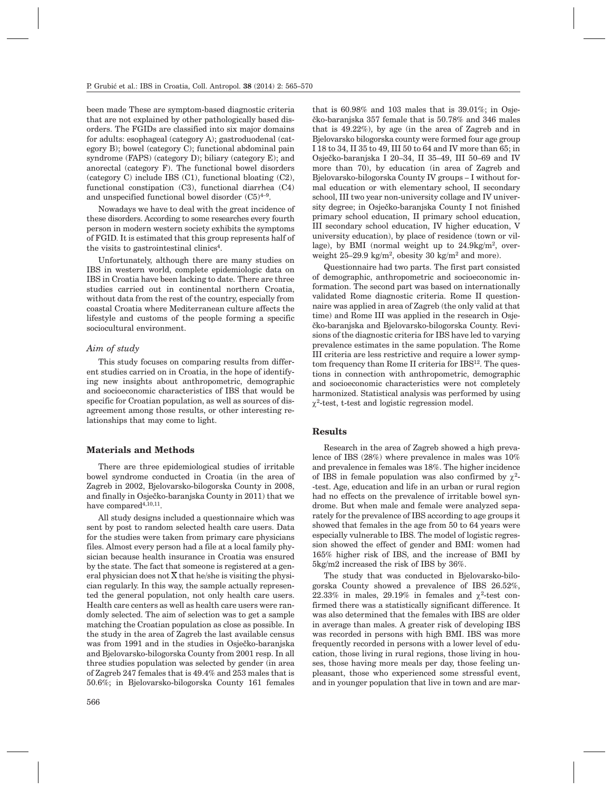been made These are symptom-based diagnostic criteria that are not explained by other pathologically based disorders. The FGIDs are classified into six major domains for adults: esophageal (category A); gastroduodenal (category B); bowel (category C); functional abdominal pain syndrome (FAPS) (category D); biliary (category E); and anorectal (category F). The functional bowel disorders (category C) include IBS (C1), functional bloating (C2), functional constipation (C3), functional diarrhea (C4) and unspecified functional bowel disorder  $(C5)^{4-9}$ .

Nowadays we have to deal with the great incidence of these disorders. According to some researches every fourth person in modern western society exhibits the symptoms of FGID. It is estimated that this group represents half of the visits to gastrointestinal clinics<sup>4</sup>.

Unfortunately, although there are many studies on IBS in western world, complete epidemiologic data on IBS in Croatia have been lacking to date. There are three studies carried out in continental northern Croatia, without data from the rest of the country, especially from coastal Croatia where Mediterranean culture affects the lifestyle and customs of the people forming a specific sociocultural environment.

### *Aim of study*

This study focuses on comparing results from different studies carried on in Croatia, in the hope of identifying new insights about anthropometric, demographic and socioeconomic characteristics of IBS that would be specific for Croatian population, as well as sources of disagreement among those results, or other interesting relationships that may come to light.

# **Materials and Methods**

There are three epidemiological studies of irritable bowel syndrome conducted in Croatia (in the area of Zagreb in 2002, Bjelovarsko-bilogorska County in 2008, and finally in Osječko-baranjska County in 2011) that we have compared<br>4,10,11.

All study designs included a questionnaire which was sent by post to random selected health care users. Data for the studies were taken from primary care physicians files. Almost every person had a file at a local family physician because health insurance in Croatia was ensured by the state. The fact that someone is registered at a general physician does not  $\overline{X}$  that he/she is visiting the physician regularly. In this way, the sample actually represented the general population, not only health care users. Health care centers as well as health care users were randomly selected. The aim of selection was to get a sample matching the Croatian population as close as possible. In the study in the area of Zagreb the last available census was from 1991 and in the studies in Osječko-baranjska and Bjelovarsko-bilogorska County from 2001 resp. In all three studies population was selected by gender (in area of Zagreb 247 females that is 49.4% and 253 males that is 50.6%; in Bjelovarsko-bilogorska County 161 females

that is  $60.98\%$  and  $103$  males that is  $39.01\%$ ; in Osie $eko-baraniska 357 female that is 50.78% and 346 males$ that is 49.22%), by age (in the area of Zagreb and in Bjelovarsko bilogorska county were formed four age group I 18 to 34, II 35 to 49, III 50 to 64 and IV more than 65; in Osječko-baranjska I 20–34, II 35–49, III 50–69 and IV more than 70), by education (in area of Zagreb and Bjelovarsko-bilogorska County IV groups – I without formal education or with elementary school, II secondary school, III two year non-university collage and IV university degree; in Osječko-baranjska County I not finished primary school education, II primary school education, III secondary school education, IV higher education, V university education), by place of residence (town or village), by BMI (normal weight up to  $24.9 \text{kg/m}^2$ , overweight  $25-29.9 \text{ kg/m}^2$ , obesity 30 kg/m<sup>2</sup> and more).

Questionnaire had two parts. The first part consisted of demographic, anthropometric and socioeconomic information. The second part was based on internationally validated Rome diagnostic criteria. Rome II questionnaire was applied in area of Zagreb (the only valid at that time) and Rome III was applied in the research in Osje čko-baranjska and Bjelovarsko-bilogorska County. Revisions of the diagnostic criteria for IBS have led to varying prevalence estimates in the same population. The Rome III criteria are less restrictive and require a lower symptom frequency than Rome II criteria for IBS<sup>12</sup>. The questions in connection with anthropometric, demographic and socioeconomic characteristics were not completely harmonized. Statistical analysis was performed by using  $\chi^2$ -test, t-test and logistic regression model.

# **Results**

Research in the area of Zagreb showed a high prevalence of IBS (28%) where prevalence in males was 10% and prevalence in females was 18%. The higher incidence of IBS in female population was also confirmed by  $\chi^2$ --test. Age, education and life in an urban or rural region had no effects on the prevalence of irritable bowel syndrome. But when male and female were analyzed separately for the prevalence of IBS according to age groups it showed that females in the age from 50 to 64 years were especially vulnerable to IBS. The model of logistic regression showed the effect of gender and BMI: women had 165% higher risk of IBS, and the increase of BMI by 5kg/m2 increased the risk of IBS by 36%.

The study that was conducted in Bjelovarsko-bilogorska County showed a prevalence of IBS 26.52%, 22.33% in males, 29.19% in females and  $\chi^2$ -test confirmed there was a statistically significant difference. It was also determined that the females with IBS are older in average than males. A greater risk of developing IBS was recorded in persons with high BMI. IBS was more frequently recorded in persons with a lower level of education, those living in rural regions, those living in houses, those having more meals per day, those feeling unpleasant, those who experienced some stressful event, and in younger population that live in town and are mar-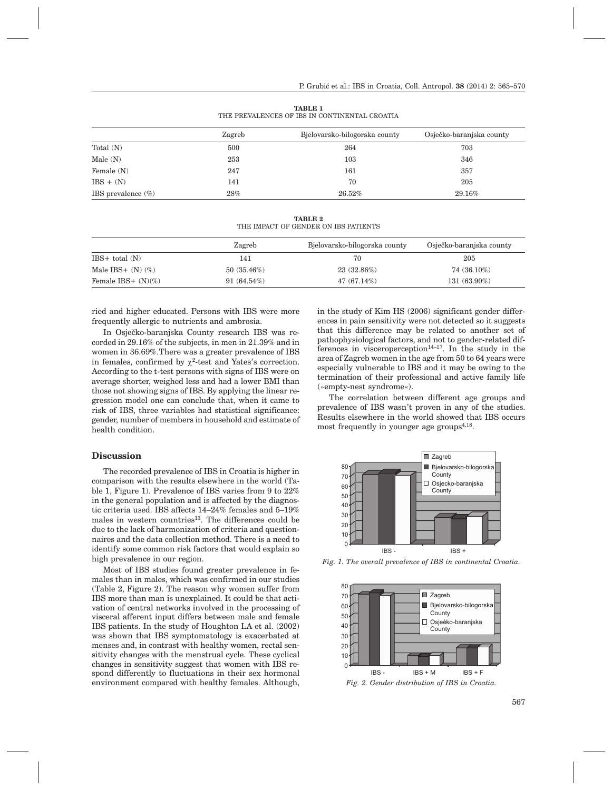|                       | Zagreb | Bjelovarsko-bilogorska county | Osječko-baranjska county |  |
|-----------------------|--------|-------------------------------|--------------------------|--|
| Total (N)             | 500    | 264                           | 703                      |  |
| Male (N)              | 253    | 103                           | 346                      |  |
| Female (N)            | 247    | 161                           | 357                      |  |
| $IBS + (N)$           | 141    | 70                            | 205                      |  |
| IBS prevalence $(\%)$ | $28\%$ | 26.52%                        | 29.16%                   |  |

**TABLE 1** THE PREVALENCES OF IBS IN CONTINENTAL CROATIA

**TABLE 2** THE IMPACT OF GENDER ON IBS PATIENTS

|                        | Zagreb        | Bjelovarsko-bilogorska county | Osječko-baranjska county |
|------------------------|---------------|-------------------------------|--------------------------|
| $IBS+ total (N)$       | 141           | 70                            | 205                      |
| Male IBS+ $(N)$ $(\%)$ | 50(35.46%)    | 23 (32.86%)                   | 74 (36.10%)              |
| Female IBS+ $(N)(\%)$  | $91(64.54\%)$ | $47(67.14\%)$                 | $131(63.90\%)$           |

ried and higher educated. Persons with IBS were more frequently allergic to nutrients and ambrosia.

In Osječko-baranjska County research IBS was recorded in 29.16% of the subjects, in men in 21.39% and in women in 36.69%.There was a greater prevalence of IBS in females, confirmed by  $\chi^2$ -test and Yates's correction. According to the t-test persons with signs of IBS were on average shorter, weighed less and had a lower BMI than those not showing signs of IBS. By applying the linear regression model one can conclude that, when it came to risk of IBS, three variables had statistical significance: gender, number of members in household and estimate of health condition.

#### **Discussion**

The recorded prevalence of IBS in Croatia is higher in comparison with the results elsewhere in the world (Table 1, Figure 1). Prevalence of IBS varies from 9 to 22% in the general population and is affected by the diagnostic criteria used. IBS affects 14–24% females and 5–19% males in western countries<sup>13</sup>. The differences could be due to the lack of harmonization of criteria and questionnaires and the data collection method. There is a need to identify some common risk factors that would explain so high prevalence in our region.

Most of IBS studies found greater prevalence in females than in males, which was confirmed in our studies (Table 2, Figure 2). The reason why women suffer from IBS more than man is unexplained. It could be that activation of central networks involved in the processing of visceral afferent input differs between male and female IBS patients. In the study of Houghton LA et al. (2002) was shown that IBS symptomatology is exacerbated at menses and, in contrast with healthy women, rectal sensitivity changes with the menstrual cycle. These cyclical changes in sensitivity suggest that women with IBS respond differently to fluctuations in their sex hormonal environment compared with healthy females. Although, in the study of Kim HS (2006) significant gender differences in pain sensitivity were not detected so it suggests that this difference may be related to another set of pathophysiological factors, and not to gender-related differences in visceroperception $14-17$ . In the study in the area of Zagreb women in the age from 50 to 64 years were especially vulnerable to IBS and it may be owing to the termination of their professional and active family life (»empty-nest syndrome«).

The correlation between different age groups and prevalence of IBS wasn't proven in any of the studies. Results elsewhere in the world showed that IBS occurs most frequently in younger age groups $4,18$ .



*Fig. 1. The overall prevalence of IBS in continental Croatia.*



*Fig. 2. Gender distribution of IBS in Croatia.*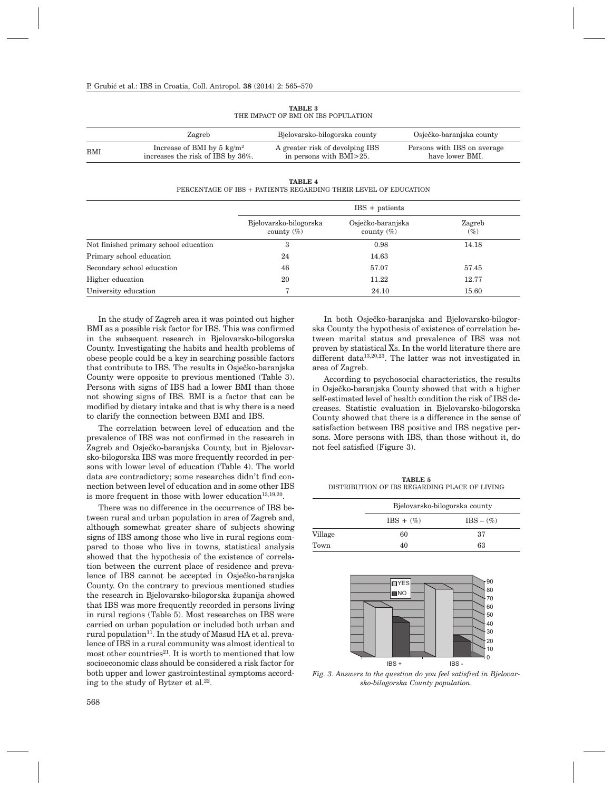|     | Zagreb                                                                    | Bjelovarsko-bilogorska county                              | Osječko-baranjska county                       |
|-----|---------------------------------------------------------------------------|------------------------------------------------------------|------------------------------------------------|
| BMI | Increase of BMI by 5 $\text{kg/m}^2$<br>increases the risk of IBS by 36%. | A greater risk of devolping IBS<br>in persons with BMI>25. | Persons with IBS on average<br>have lower BMI. |

**TABLE 3** THE IMPACT OF BMI ON IBS POPULATION

**TABLE 4**

PERCENTAGE OF IBS + PATIENTS REGARDING THEIR LEVEL OF EDUCATION

|                                       | $IBS + patients$                        |                                    |                  |
|---------------------------------------|-----------------------------------------|------------------------------------|------------------|
|                                       | Bjelovarsko-bilogorska<br>county $(\%)$ | Osječko-baranjska<br>county $(\%)$ | Zagreb<br>$(\%)$ |
| Not finished primary school education | 3                                       | 0.98                               | 14.18            |
| Primary school education              | 24                                      | 14.63                              |                  |
| Secondary school education            | 46                                      | 57.07                              | 57.45            |
| Higher education                      | 20                                      | 11.22                              | 12.77            |
| University education                  | 7                                       | 24.10                              | 15.60            |

In the study of Zagreb area it was pointed out higher BMI as a possible risk factor for IBS. This was confirmed in the subsequent research in Bjelovarsko-bilogorska County. Investigating the habits and health problems of obese people could be a key in searching possible factors that contribute to IBS. The results in Osječko-baranjska County were opposite to previous mentioned (Table 3). Persons with signs of IBS had a lower BMI than those not showing signs of IBS. BMI is a factor that can be modified by dietary intake and that is why there is a need to clarify the connection between BMI and IBS.

The correlation between level of education and the prevalence of IBS was not confirmed in the research in Zagreb and Osječko-baranjska County, but in Bjelovarsko-bilogorska IBS was more frequently recorded in persons with lower level of education (Table 4). The world data are contradictory; some researches didn't find connection between level of education and in some other IBS is more frequent in those with lower education $13,19,20$ .

There was no difference in the occurrence of IBS between rural and urban population in area of Zagreb and, although somewhat greater share of subjects showing signs of IBS among those who live in rural regions compared to those who live in towns, statistical analysis showed that the hypothesis of the existence of correlation between the current place of residence and prevalence of IBS cannot be accepted in Osječko-baranjska County. On the contrary to previous mentioned studies the research in Bjelovarsko-bilogorska županija showed that IBS was more frequently recorded in persons living in rural regions (Table 5). Most researches on IBS were carried on urban population or included both urban and rural population<sup>11</sup>. In the study of Masud HA et al. prevalence of IBS in a rural community was almost identical to most other countries<sup>21</sup>. It is worth to mentioned that low socioeconomic class should be considered a risk factor for both upper and lower gastrointestinal symptoms according to the study of Bytzer et al.<sup>22</sup>.

In both Osječko-baranjska and Bjelovarsko-bilogorska County the hypothesis of existence of correlation between marital status and prevalence of IBS was not proven by statistical  $\overline{X}_s$ . In the world literature there are different data13,20,23. The latter was not investigated in area of Zagreb.

According to psychosocial characteristics, the results in Osječko-baranjska County showed that with a higher self-estimated level of health condition the risk of IBS decreases. Statistic evaluation in Bjelovarsko-bilogorska County showed that there is a difference in the sense of satisfaction between IBS positive and IBS negative persons. More persons with IBS, than those without it, do not feel satisfied (Figure 3).

**TABLE 5** DISTRIBUTION OF IBS REGARDING PLACE OF LIVING

|         | Bjelovarsko-bilogorska county |              |  |
|---------|-------------------------------|--------------|--|
|         | $IBS + (\%)$                  | $IBS - (\%)$ |  |
| Village | 60                            | 37           |  |
| Town    | 40                            | 63           |  |



*Fig. 3. Answers to the question do you feel satisfied in Bjelovarsko-bilogorska County population.*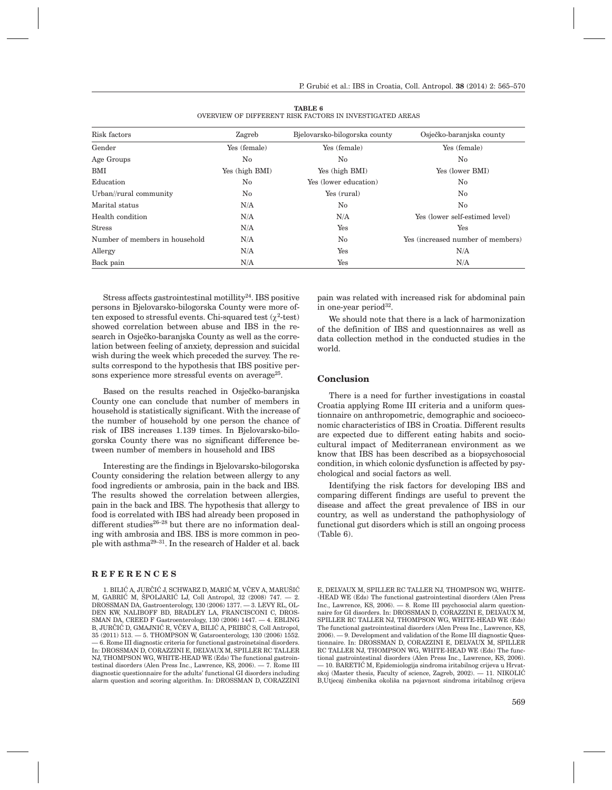| Risk factors                   | Zagreb         | Bjelovarsko-bilogorska county | Osječko-baranjska county          |
|--------------------------------|----------------|-------------------------------|-----------------------------------|
| Gender                         | Yes (female)   | Yes (female)                  | Yes (female)                      |
| Age Groups                     | No             | No                            | No                                |
| BMI                            | Yes (high BMI) | Yes (high BMI)                | Yes (lower BMI)                   |
| Education                      | $\rm No$       | Yes (lower education)         | $\rm No$                          |
| Urban//rural community         | No             | Yes (rural)                   | No                                |
| Marital status                 | N/A            | No                            | No                                |
| Health condition               | N/A            | N/A                           | Yes (lower self-estimed level)    |
| <b>Stress</b>                  | N/A            | Yes                           | Yes                               |
| Number of members in household | N/A            | No                            | Yes (increased number of members) |
| Allergy                        | N/A            | Yes                           | N/A                               |
| Back pain                      | N/A            | Yes                           | N/A                               |

**TABLE 6** OVERVIEW OF DIFFERENT RISK FACTORS IN INVESTIGATED AREAS

Stress affects gastrointestinal motillity<sup>24</sup>. IBS positive persons in Bjelovarsko-bilogorska County were more often exposed to stressful events. Chi-squared test  $(\chi^2$ -test) showed correlation between abuse and IBS in the research in Osječko-baranjska County as well as the correlation between feeling of anxiety, depression and suicidal wish during the week which preceded the survey. The results correspond to the hypothesis that IBS positive persons experience more stressful events on average<sup>25</sup>.

Based on the results reached in Osječko-baranjska County one can conclude that number of members in household is statistically significant. With the increase of the number of household by one person the chance of risk of IBS increases 1.139 times. In Bjelovarsko-bilogorska County there was no significant difference between number of members in household and IBS

Interesting are the findings in Bjelovarsko-bilogorska County considering the relation between allergy to any food ingredients or ambrosia, pain in the back and IBS. The results showed the correlation between allergies, pain in the back and IBS. The hypothesis that allergy to food is correlated with IBS had already been proposed in different studies<sup>26-28</sup> but there are no information dealing with ambrosia and IBS. IBS is more common in people with asthma29–31. In the research of Halder et al. back

# **REFERENCES**

1. BILIĆ A, JURČIĆ J, SCHWARZ D, MARIĆ M, VČEV A, MARUŠIĆ M, GABRIĆ M, ŠPOLJARIĆ LJ, Coll Antropol, 32 (2008) 747. - 2. DROSSMAN DA, Gastroenterology, 130 (2006) 1377. — 3. LEVY RL, OL-DEN KW, NALIBOFF BD, BRADLEY LA, FRANCISCONI C, DROS-SMAN DA, CREED F Gastroenterology, 130 (2006) 1447. — 4. EBLING B, JURČIĆ D, GMAJNIĆ R, VČEV A, BILIĆ A, PRIBIĆ S, Coll Antropol, 35 (2011) 513. — 5. THOMPSON W, Gatsroenterology, 130 (2006) 1552. — 6. Rome III diagnostic criteria for functional gastroinetsinal disorders. In: DROSSMAN D, CORAZZINI E, DELVAUX M, SPILLER RC TALLER NJ, THOMPSON WG, WHITE-HEAD WE (Eds) The functional gastrointestinal disorders (Alen Press Inc., Lawrence, KS, 2006). — 7. Rome III diagnostic questionnaire for the adults' functional GI disorders including alarm question and scoring algorithm. In: DROSSMAN D, CORAZZINI pain was related with increased risk for abdominal pain in one-year period $32$ .

We should note that there is a lack of harmonization of the definition of IBS and questionnaires as well as data collection method in the conducted studies in the world.

#### **Conclusion**

There is a need for further investigations in coastal Croatia applying Rome III criteria and a uniform questionnaire on anthropometric, demographic and socioeconomic characteristics of IBS in Croatia. Different results are expected due to different eating habits and sociocultural impact of Mediterranean environment as we know that IBS has been described as a biopsychosocial condition, in which colonic dysfunction is affected by psychological and social factors as well.

Identifying the risk factors for developing IBS and comparing different findings are useful to prevent the disease and affect the great prevalence of IBS in our country, as well as understand the pathophysiology of functional gut disorders which is still an ongoing process (Table 6).

E, DELVAUX M, SPILLER RC TALLER NJ, THOMPSON WG, WHITE- -HEAD WE (Eds) The functional gastrointestinal disorders (Alen Press Inc., Lawrence, KS, 2006). — 8. Rome III psychosocial alarm questionnaire for GI disorders. In: DROSSMAN D, CORAZZINI E, DELVAUX M, SPILLER RC TALLER NJ, THOMPSON WG, WHITE-HEAD WE (Eds) The functional gastrointestinal disorders (Alen Press Inc., Lawrence, KS, 2006). — 9. Development and validation of the Rome III diagnostic Questionnaire. In: DROSSMAN D, CORAZZINI E, DELVAUX M, SPILLER RC TALLER NJ, THOMPSON WG, WHITE-HEAD WE (Eds) The functional gastrointestinal disorders (Alen Press Inc., Lawrence, KS, 2006). – 10. BARETIĆ M, Epidemiologija sindroma iritabilnog crijeva u Hrvatskoj (Master thesis, Faculty of science, Zagreb,  $2002$ ).  $-11$ . NIKOLIĆ B,Utjecaj čimbenika okoliša na pojavnost sindroma iritabilnog crijeva